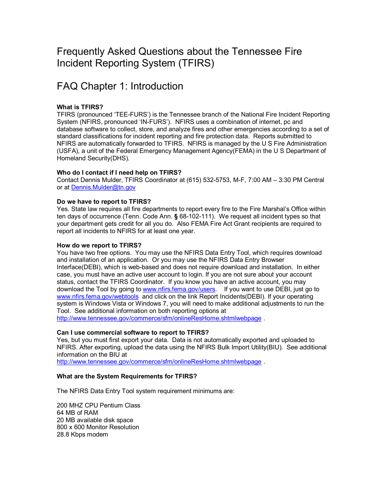# Frequently Asked Questions about the Tennessee Fire Incident Reporting System (TFIRS)

# FAQ Chapter 1: Introduction

# **What is TFIRS?**

TFIRS (pronounced 'TEE-FURS') is the Tennessee branch of the National Fire Incident Reporting System (NFIRS, pronounced 'IN-FURS'). NFIRS uses a combination of internet, pc and database software to collect, store, and analyze fires and other emergencies according to a set of standard classifications for incident reporting and fire protection data. Reports submitted to NFIRS are automatically forwarded to TFIRS. NFIRS is managed by the U S Fire Administration (USFA), a unit of the Federal Emergency Management Agency(FEMA) in the U S Department of Homeland Security(DHS).

## **Who do I contact if I need help on TFIRS?**

Contact Dennis Mulder, TFIRS Coordinator at (615) 5325753, MF, 7:00 AM – 3:30 PM Central or at [Dennis.Mulder@tn.gov](mailto:Dennis.Mulder@tn.gov)

## **Do we have to report to TFIRS?**

Yes. State law requires all fire departments to report every fire to the Fire Marshal's Office within ten days of occurrence (Tenn. Code Ann. § 68-102-111). We request all incident types so that your department gets credit for all you do. Also FEMA Fire Act Grant recipients are required to report all incidents to NFIRS for at least one year.

## **How do we report to TFIRS?**

You have two free options. You may use the NFIRS Data Entry Tool, which requires download and installation of an application. Or you may use the NFIRS Data Entry Browser Interface(DEBI), which is web-based and does not require download and installation. In either case, you must have an active user account to login. If you are not sure about your account status, contact the TFIRS Coordinator. If you know you have an active account, you may download the Tool by going to [www.nfirs.fema.gov/users.](http://www.nfirs.fema.gov/users) If you want to use DEBI, just go to [www.nfirs.fema.gov/webtools](http://www.nfirs.fema.gov/webtools) and click on the link Report Incidents(DEBI). If your operating system is Windows Vista or Windows 7, you will need to make additional adjustments to run the Tool. See additional information on both reporting options at

<http://www.tennessee.gov/commerce/sfm/onlineResHome.shtmlwebpage> .

## **Can I use commercial software to report to TFIRS?**

Yes, but you must first export your data. Data is not automatically exported and uploaded to NFIRS. After exporting, upload the data using the NFIRS Bulk Import Utility(BIU). See additional information on the BIU at

<http://www.tennessee.gov/commerce/sfm/onlineResHome.shtmlwebpage> .

# **What are the System Requirements for TFIRS?**

The NFIRS Data Entry Tool system requirement minimums are:

 MHZ CPU Pentium Class MB of RAM MB available disk space x 600 Monitor Resolution 28.8 Kbps modem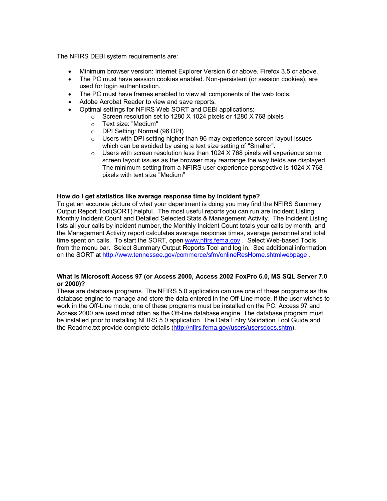The NFIRS DEBI system requirements are:

- · Minimum browser version: Internet Explorer Version 6 or above. Firefox 3.5 or above.
- The PC must have session cookies enabled. Non-persistent (or session cookies), are used for login authentication.
- · The PC must have frames enabled to view all components of the web tools.
- Adobe Acrobat Reader to view and save reports.
- · Optimal settings for NFIRS Web SORT and DEBI applications:
	- o Screen resolution set to 1280 X 1024 pixels or 1280 X 768 pixels
	- o Text size: "Medium"
	- o DPI Setting: Normal (96 DPI)
	- o Users with DPI setting higher than 96 may experience screen layout issues which can be avoided by using a text size setting of "Smaller".
	- $\circ$  Users with screen resolution less than 1024 X 768 pixels will experience some screen layout issues as the browser may rearrange the way fields are displayed. The minimum setting from a NFIRS user experience perspective is 1024 X 768 pixels with text size "Medium"

#### **How do I get statistics like average response time by incident type?**

To get an accurate picture of what your department is doing you may find the NFIRS Summary Output Report Tool(SORT) helpful. The most useful reports you can run are Incident Listing, Monthly Incident Count and Detailed Selected Stats & Management Activity. The Incident Listing lists all your calls by incident number, the Monthly Incident Count totals your calls by month, and the Management Activity report calculates average response times, average personnel and total time spent on calls. To start the SORT, open [www.nfirs.fema.gov](http://www.nfirs.fema.gov/) . Select Web-based Tools from the menu bar. Select Summary Output Reports Tool and log in. See additional information on the SORT at <http://www.tennessee.gov/commerce/sfm/onlineResHome.shtmlwebpage> .

## **What is Microsoft Access 97 (or Access 2000, Access 2002 FoxPro 6.0, MS SQL Server 7.0 or 2000)?**

These are database programs. The NFIRS 5.0 application can use one of these programs as the database engine to manage and store the data entered in the Off-Line mode. If the user wishes to work in the Off-Line mode, one of these programs must be installed on the PC. Access 97 and Access 2000 are used most often as the Off-line database engine. The database program must be installed prior to installing NFIRS 5.0 application. The Data Entry Validation Tool Guide and the Readme.txt provide complete details (<http://nfirs.fema.gov/users/usersdocs.shtm>).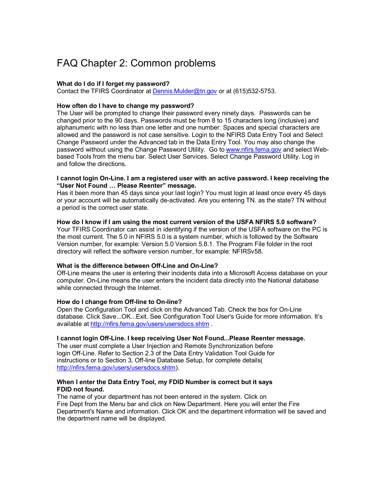# FAQ Chapter 2: Common problems

## **What do I do ifI forget my password?**

Contact the TFIRS Coordinator at Dennis. Mulder@tn.gov or at  $(615)532-5753$ .

### **How often do I have to change my password?**

The User will be prompted to change their password every ninety days. Passwords can be changed prior to the 90 days. Passwords must be from 8 to 15 characters long (inclusive) and alphanumeric with no less than one letter and one number. Spaces and special characters are allowed and the password is not case sensitive. Login to the NFIRS Data Entry Tool and Select Change Password under the Advanced tab in the Data Entry Tool. You may also change the password without using the Change Password Utility. Go to [www.nfirs.fema.gov](http://www.nfirs.fema.gov/) and select Webbased Tools from the menu bar. Select User Services. Select Change Password Utility. Log in and follow the directions.

#### **I cannot login OnLine. I am a registered user with an active password. I keep receiving the "User Not Found … Please Reenter" message.**

Has it been more than 45 days since your last login? You must login at least once every 45 days or your account will be automatically de-activated. Are you entering TN, as the state? TN without a period is the correct user state.

#### **How do I know if I am using the most current version of the USFA NFIRS 5.0 software?**

Your TFIRS Coordinator can assist in identifying if the version of the USFA software on the PC is the most current. The 5.0 in NFIRS 5.0 is a system number, which is followed by the Software Version number, for example: Version 5.0 Version 5.8.1. The Program File folder in the root directory will reflect the software version number, for example: NFIRSv58.

## **What is the difference between OffLine and OnLine?**

OffLine means the user is entering their incidents data into a Microsoft Access database on your computer. On-Line means the user enters the incident data directly into the National database while connected through the Internet.

## **How do I change from Offline to Online?**

Open the Configuration Tool and click on the Advanced Tab. Check the box for On-Line database. Click Save...OK...Exit. See Configuration Tool User's Guide for more information. It's available at <http://nfirs.fema.gov/users/usersdocs.shtm> .

## **I cannot login OffLine. I keep receiving User Not Found...Please Reenter message.**

The user must complete a User Injection and Remote Synchronization before login OffLine. Refer to Section 2.3 of the Data Entry Validation Tool Guide for instructions or to Section 3, Off-line Database Setup, for complete details( [http://nfirs.fema.gov/users/usersdocs.shtm\)](http://nfirs.fema.gov/users/usersdocs.shtm).

#### **When I enter the Data Entry Tool, my FDID Number is correct but it says FDID not found.**

The name of your department has not been entered in the system. Click on Fire Dept from the Menu bar and click on New Department. Here you will enter the Fire Department's Name and information. Click OK and the department information will be saved and the department name will be displayed.